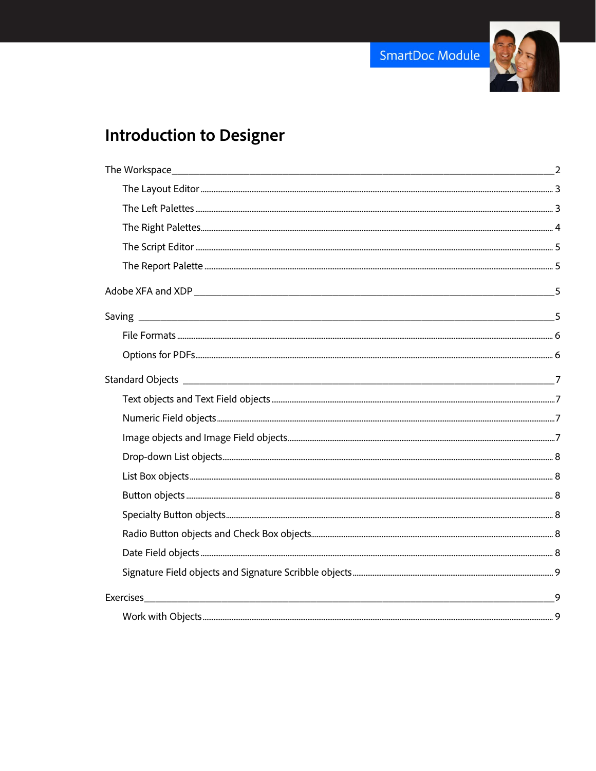

# **Introduction to Designer**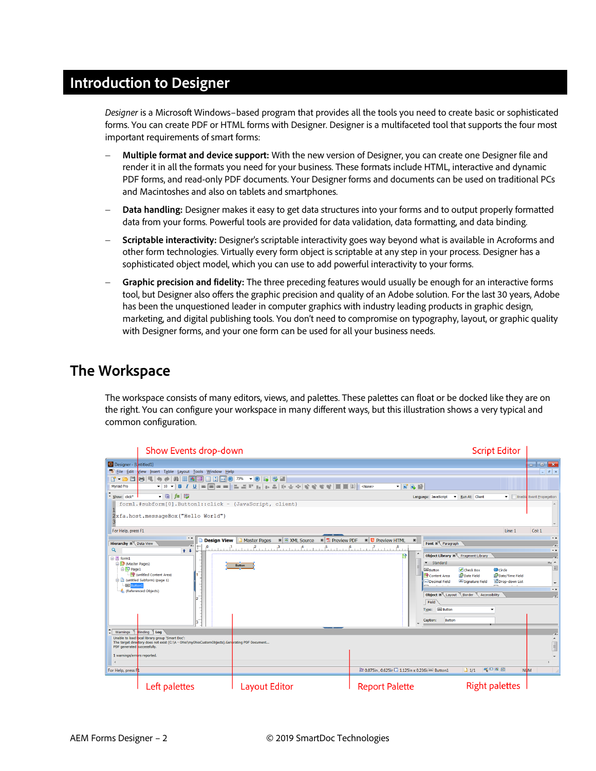# **Introduction to Designer**

*Designer* is a Microsoft Windows–based program that provides all the tools you need to create basic or sophisticated forms. You can create PDF or HTML forms with Designer. Designer is a multifaceted tool that supports the four most important requirements of smart forms:

- − **Multiple format and device support:** With the new version of Designer, you can create one Designer file and render it in all the formats you need for your business. These formats include HTML, interactive and dynamic PDF forms, and read-only PDF documents. Your Designer forms and documents can be used on traditional PCs and Macintoshes and also on tablets and smartphones.
- − **Data handling:** Designer makes it easy to get data structures into your forms and to output properly formatted data from your forms. Powerful tools are provided for data validation, data formatting, and data binding.
- − **Scriptable interactivity:** Designer's scriptable interactivity goes way beyond what is available in Acroforms and other form technologies. Virtually every form object is scriptable at any step in your process. Designer has a sophisticated object model, which you can use to add powerful interactivity to your forms.
- − **Graphic precision and fidelity:** The three preceding features would usually be enough for an interactive forms tool, but Designer also offers the graphic precision and quality of an Adobe solution. For the last 30 years, Adobe has been the unquestioned leader in computer graphics with industry leading products in graphic design, marketing, and digital publishing tools. You don't need to compromise on typography, layout, or graphic quality with Designer forms, and your one form can be used for all your business needs.

# <span id="page-1-0"></span>**The Workspace**

The workspace consists of many editors, views, and palettes. These palettes can float or be docked like they are on the right. You can configure your workspace in many different ways, but this illustration shows a very typical and common configuration.

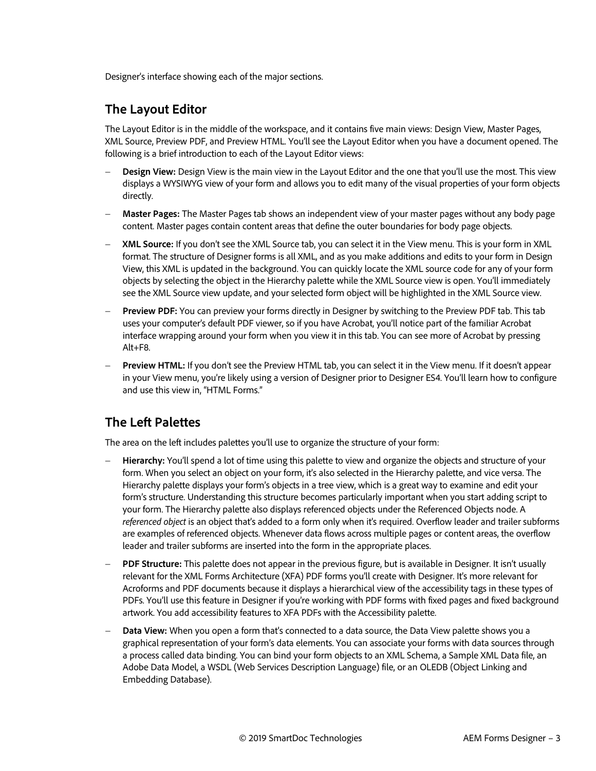Designer's interface showing each of the major sections.

#### <span id="page-2-0"></span>**The Layout Editor**

The Layout Editor is in the middle of the workspace, and it contains five main views: Design View, Master Pages, XML Source, Preview PDF, and Preview HTML. You'll see the Layout Editor when you have a document opened. The following is a brief introduction to each of the Layout Editor views:

- − **Design View:** Design View is the main view in the Layout Editor and the one that you'll use the most. This view displays a WYSIWYG view of your form and allows you to edit many of the visual properties of your form objects directly.
- − **Master Pages:** The Master Pages tab shows an independent view of your master pages without any body page content. Master pages contain content areas that define the outer boundaries for body page objects.
- − **XML Source:** If you don't see the XML Source tab, you can select it in the View menu. This is your form in XML format. The structure of Designer forms is all XML, and as you make additions and edits to your form in Design View, this XML is updated in the background. You can quickly locate the XML source code for any of your form objects by selecting the object in the Hierarchy palette while the XML Source view is open. You'll immediately see the XML Source view update, and your selected form object will be highlighted in the XML Source view.
- **Preview PDF:** You can preview your forms directly in Designer by switching to the Preview PDF tab. This tab uses your computer's default PDF viewer, so if you have Acrobat, you'll notice part of the familiar Acrobat interface wrapping around your form when you view it in this tab. You can see more of Acrobat by pressing Alt+F8.
- − **Preview HTML:** If you don't see the Preview HTML tab, you can select it in the View menu. If it doesn't appear in your View menu, you're likely using a version of Designer prior to Designer ES4. You'll learn how to configure and use this view in, "HTML Forms."

### <span id="page-2-1"></span>**The Left Palettes**

The area on the left includes palettes you'll use to organize the structure of your form:

- − **Hierarchy:** You'll spend a lot of time using this palette to view and organize the objects and structure of your form. When you select an object on your form, it's also selected in the Hierarchy palette, and vice versa. The Hierarchy palette displays your form's objects in a tree view, which is a great way to examine and edit your form's structure. Understanding this structure becomes particularly important when you start adding script to your form. The Hierarchy palette also displays referenced objects under the Referenced Objects node. A *referenced object* is an object that's added to a form only when it's required. Overflow leader and trailer subforms are examples of referenced objects. Whenever data flows across multiple pages or content areas, the overflow leader and trailer subforms are inserted into the form in the appropriate places.
- − **PDF Structure:** This palette does not appear in the previous figure, but is available in Designer. It isn't usually relevant for the XML Forms Architecture (XFA) PDF forms you'll create with Designer. It's more relevant for Acroforms and PDF documents because it displays a hierarchical view of the accessibility tags in these types of PDFs. You'll use this feature in Designer if you're working with PDF forms with fixed pages and fixed background artwork. You add accessibility features to XFA PDFs with the Accessibility palette.
- − **Data View:** When you open a form that's connected to a data source, the Data View palette shows you a graphical representation of your form's data elements. You can associate your forms with data sources through a process called data binding. You can bind your form objects to an XML Schema, a Sample XML Data file, an Adobe Data Model, a WSDL (Web Services Description Language) file, or an OLEDB (Object Linking and Embedding Database).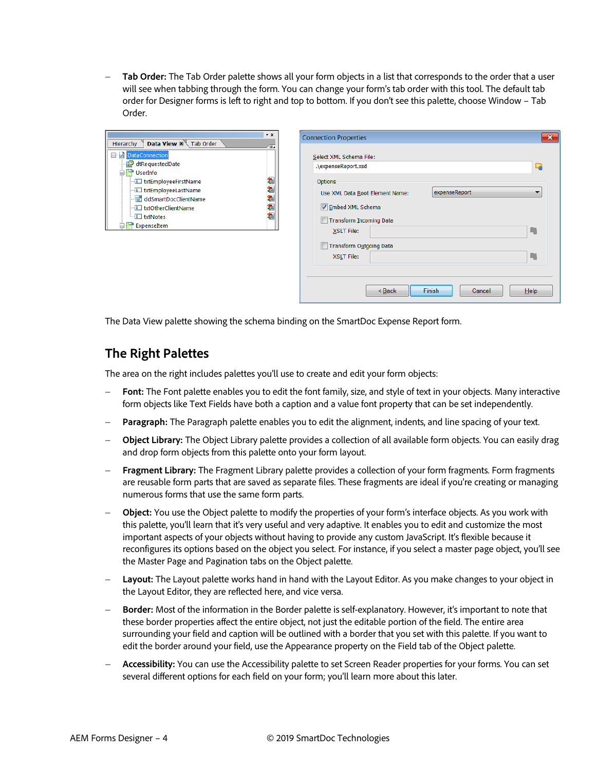− **Tab Order:** The Tab Order palette shows all your form objects in a list that corresponds to the order that a user will see when tabbing through the form. You can change your form's tab order with this tool. The default tab order for Designer forms is left to right and top to bottom. If you don't see this palette, choose Window – Tab Order.



| Select XML Schema File:<br>.\expenseReport.xsd |               | G, |
|------------------------------------------------|---------------|----|
| Options                                        |               |    |
| Use XML Data Root Element Name:                | expenseReport | ▼  |
| <b>√</b> Embed XML Schema                      |               |    |
| <b>Transform Incoming Data</b>                 |               |    |
| <b>XSLT File:</b>                              |               | ٠  |
| Transform Outgoing Data                        |               |    |
| XSLT File:                                     |               | п  |
|                                                |               |    |

The Data View palette showing the schema binding on the SmartDoc Expense Report form.

#### <span id="page-3-0"></span>**The Right Palettes**

The area on the right includes palettes you'll use to create and edit your form objects:

- Font: The Font palette enables you to edit the font family, size, and style of text in your objects. Many interactive form objects like Text Fields have both a caption and a value font property that can be set independently.
- **Paragraph:** The Paragraph palette enables you to edit the alignment, indents, and line spacing of your text.
- − **Object Library:** The Object Library palette provides a collection of all available form objects. You can easily drag and drop form objects from this palette onto your form layout.
- − **Fragment Library:** The Fragment Library palette provides a collection of your form fragments. Form fragments are reusable form parts that are saved as separate files. These fragments are ideal if you're creating or managing numerous forms that use the same form parts.
- − **Object:** You use the Object palette to modify the properties of your form's interface objects. As you work with this palette, you'll learn that it's very useful and very adaptive. It enables you to edit and customize the most important aspects of your objects without having to provide any custom JavaScript. It's flexible because it reconfigures its options based on the object you select. For instance, if you select a master page object, you'll see the Master Page and Pagination tabs on the Object palette.
- − **Layout:** The Layout palette works hand in hand with the Layout Editor. As you make changes to your object in the Layout Editor, they are reflected here, and vice versa.
- − **Border:** Most of the information in the Border palette is self-explanatory. However, it's important to note that these border properties affect the entire object, not just the editable portion of the field. The entire area surrounding your field and caption will be outlined with a border that you set with this palette. If you want to edit the border around your field, use the Appearance property on the Field tab of the Object palette.
- − **Accessibility:** You can use the Accessibility palette to set Screen Reader properties for your forms. You can set several different options for each field on your form; you'll learn more about this later.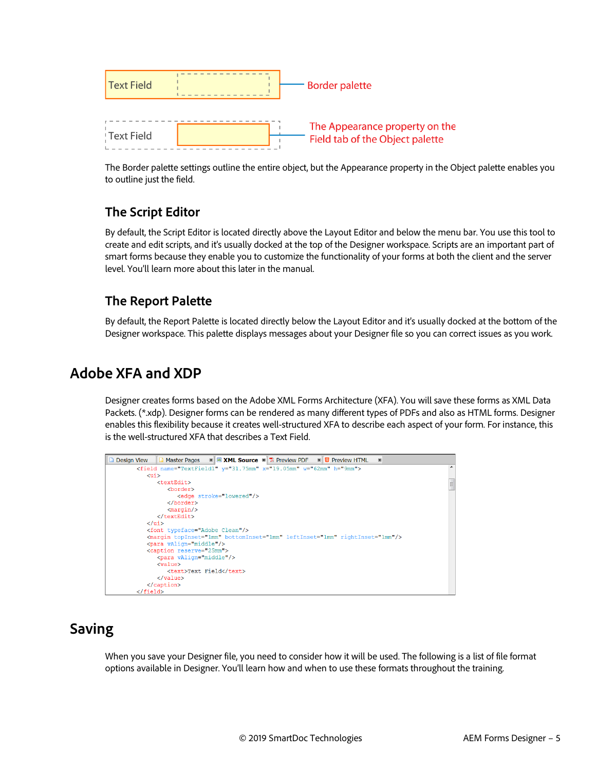

The Border palette settings outline the entire object, but the Appearance property in the Object palette enables you to outline just the field.

# <span id="page-4-0"></span>**The Script Editor**

By default, the Script Editor is located directly above the Layout Editor and below the menu bar. You use this tool to create and edit scripts, and it's usually docked at the top of the Designer workspace. Scripts are an important part of smart forms because they enable you to customize the functionality of your forms at both the client and the server level. You'll learn more about this later in the manual.

#### <span id="page-4-1"></span>**The Report Palette**

By default, the Report Palette is located directly below the Layout Editor and it's usually docked at the bottom of the Designer workspace. This palette displays messages about your Designer file so you can correct issues as you work.

# <span id="page-4-2"></span>**Adobe XFA and XDP**

Designer creates forms based on the Adobe XML Forms Architecture (XFA). You will save these forms as XML Data Packets. (\*.xdp). Designer forms can be rendered as many different types of PDFs and also as HTML forms. Designer enables this flexibility because it creates well-structured XFA to describe each aspect of your form. For instance, this is the well-structured XFA that describes a Text Field.



# <span id="page-4-3"></span>**Saving**

When you save your Designer file, you need to consider how it will be used. The following is a list of file format options available in Designer. You'll learn how and when to use these formats throughout the training.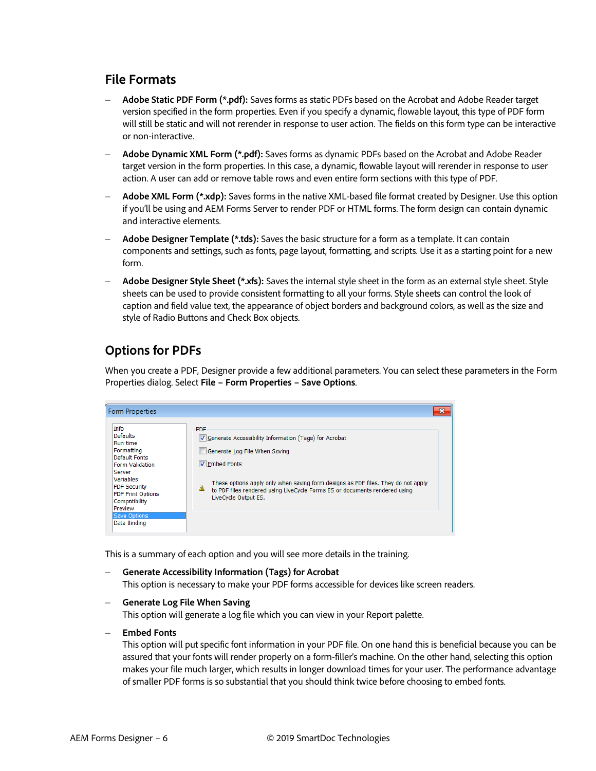#### <span id="page-5-0"></span>**File Formats**

- − **Adobe Static PDF Form (\*.pdf):** Saves forms as static PDFs based on the Acrobat and Adobe Reader target version specified in the form properties. Even if you specify a dynamic, flowable layout, this type of PDF form will still be static and will not rerender in response to user action. The fields on this form type can be interactive or non-interactive.
- − **Adobe Dynamic XML Form (\*.pdf):** Saves forms as dynamic PDFs based on the Acrobat and Adobe Reader target version in the form properties. In this case, a dynamic, flowable layout will rerender in response to user action. A user can add or remove table rows and even entire form sections with this type of PDF.
- − **Adobe XML Form (\*.xdp):** Saves forms in the native XML-based file format created by Designer. Use this option if you'll be using and AEM Forms Server to render PDF or HTML forms. The form design can contain dynamic and interactive elements.
- − **Adobe Designer Template (\*.tds):** Saves the basic structure for a form as a template. It can contain components and settings, such as fonts, page layout, formatting, and scripts. Use it as a starting point for a new form.
- − **Adobe Designer Style Sheet (\*.xfs):** Saves the internal style sheet in the form as an external style sheet. Style sheets can be used to provide consistent formatting to all your forms. Style sheets can control the look of caption and field value text, the appearance of object borders and background colors, as well as the size and style of Radio Buttons and Check Box objects.

#### <span id="page-5-1"></span>**Options for PDFs**

When you create a PDF, Designer provide a few additional parameters. You can select these parameters in the Form Properties dialog. Select **File – Form Properties – Save Options**.

| <b>Form Properties</b>                                                                                                                                                                                                                    |                                                                                                                                                                                                                                                                                                                              |
|-------------------------------------------------------------------------------------------------------------------------------------------------------------------------------------------------------------------------------------------|------------------------------------------------------------------------------------------------------------------------------------------------------------------------------------------------------------------------------------------------------------------------------------------------------------------------------|
| Info<br><b>Defaults</b><br>Run-time<br>Formatting<br><b>Default Fonts</b><br>Form Validation<br>Server<br><b>Variables</b><br><b>PDF Security</b><br><b>PDF Print Options</b><br>Compatibility<br>Preview<br>Save Options<br>Data Binding | <b>PDF</b><br>Generate Accessibility Information (Tags) for Acrobat<br>Generate Log File When Saving<br><b>√</b> Embed Fonts<br>These options apply only when saving form designs as PDF files. They do not apply<br>♨<br>to PDF files rendered using LiveCycle Forms ES or documents rendered using<br>LiveCycle Output ES. |

This is a summary of each option and you will see more details in the training.

− **Generate Accessibility Information (Tags) for Acrobat**

This option is necessary to make your PDF forms accessible for devices like screen readers.

#### − **Generate Log File When Saving**

This option will generate a log file which you can view in your Report palette.

− **Embed Fonts**

This option will put specific font information in your PDF file. On one hand this is beneficial because you can be assured that your fonts will render properly on a form-filler's machine. On the other hand, selecting this option makes your file much larger, which results in longer download times for your user. The performance advantage of smaller PDF forms is so substantial that you should think twice before choosing to embed fonts.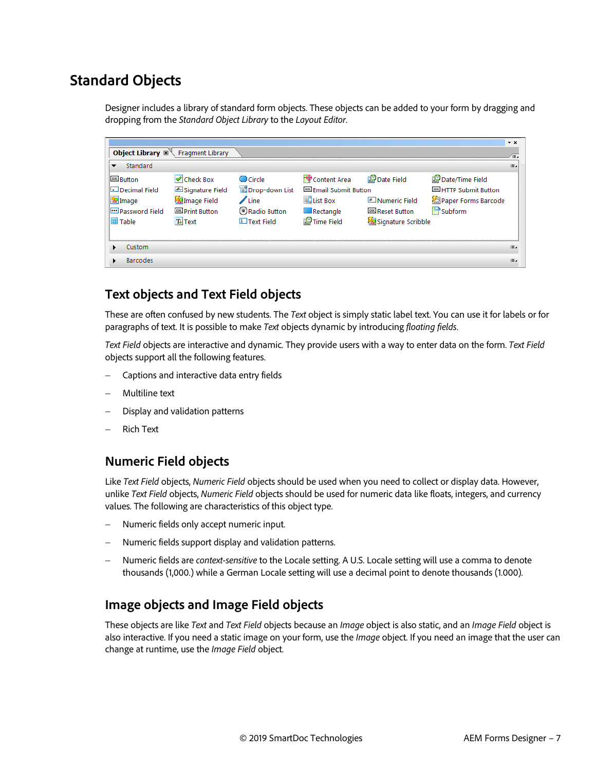# <span id="page-6-0"></span>**Standard Objects**

Designer includes a library of standard form objects. These objects can be added to your form by dragging and dropping from the *Standard Object Library* to the *Layout Editor*.

|                                          |                         |                           |                                   |                        |                              | $\mathbf{v} \times$ |
|------------------------------------------|-------------------------|---------------------------|-----------------------------------|------------------------|------------------------------|---------------------|
| Object Library $\mathbb{Z}^{\mathbb{N}}$ | <b>Fragment Library</b> |                           |                                   |                        |                              | Œ.                  |
| Standard                                 |                         |                           |                                   |                        |                              | ⊞.                  |
| <b>EX Button</b>                         | K Check Box             | Circle                    | Content Area                      | Date Field             | Date/Time Field              |                     |
| Decimal Field                            | Signature Field         | Drop-down List            | <sup>OK</sup> Email Submit Button |                        | <b>OK HTTP Submit Button</b> |                     |
| <b>E</b> lmage                           | Image Field             | $\mathbb Z$ Line          | <b>同</b> List Box                 | # Numeric Field        | Paper Forms Barcode          |                     |
| m Password Field                         | <b>OK</b> Print Button  | Radio Button              | Rectangle                         | <b>OK</b> Reset Button | $\Box$ Subform               |                     |
| Table                                    | T+ Text                 | $\overline{I}$ Text Field | Time Field                        | Signature Scribble     |                              |                     |
|                                          |                         |                           |                                   |                        |                              |                     |
| Custom                                   |                         |                           |                                   |                        |                              | iE.                 |
| <b>Barcodes</b>                          |                         |                           |                                   |                        |                              | iE.                 |

#### <span id="page-6-1"></span>**Text objects and Text Field objects**

These are often confused by new students. The *Text* object is simply static label text. You can use it for labels or for paragraphs of text. It is possible to make *Text* objects dynamic by introducing *floating fields*.

*Text Field* objects are interactive and dynamic. They provide users with a way to enter data on the form. *Text Field* objects support all the following features.

- − Captions and interactive data entry fields
- − Multiline text
- Display and validation patterns
- − Rich Text

#### <span id="page-6-2"></span>**Numeric Field objects**

Like *Text Field* objects, *Numeric Field* objects should be used when you need to collect or display data. However, unlike *Text Field* objects, *Numeric Field* objects should be used for numeric data like floats, integers, and currency values. The following are characteristics of this object type.

- Numeric fields only accept numeric input.
- − Numeric fields support display and validation patterns.
- − Numeric fields are *context-sensitive* to the Locale setting. A U.S. Locale setting will use a comma to denote thousands (1,000.) while a German Locale setting will use a decimal point to denote thousands (1.000).

#### <span id="page-6-3"></span>**Image objects and Image Field objects**

These objects are like *Text* and *Text Field* objects because an *Image* object is also static, and an *Image Field* object is also interactive. If you need a static image on your form, use the *Image* object. If you need an image that the user can change at runtime, use the *Image Field* object.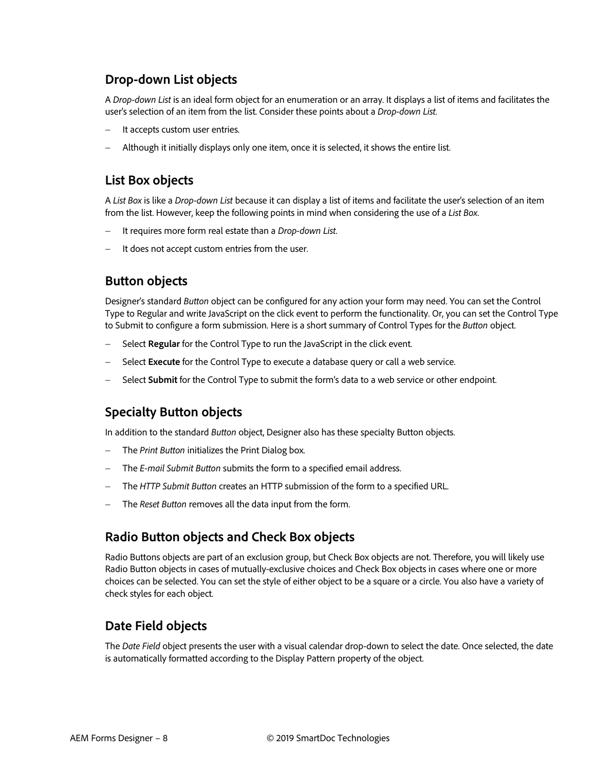#### <span id="page-7-0"></span>**Drop-down List objects**

A *Drop-down List* is an ideal form object for an enumeration or an array. It displays a list of items and facilitates the user's selection of an item from the list. Consider these points about a *Drop-down List*.

- It accepts custom user entries.
- − Although it initially displays only one item, once it is selected, it shows the entire list.

#### <span id="page-7-1"></span>**List Box objects**

A *List Box* is like a *Drop-down List* because it can display a list of items and facilitate the user's selection of an item from the list. However, keep the following points in mind when considering the use of a *List Box*.

- − It requires more form real estate than a *Drop-down List*.
- It does not accept custom entries from the user.

#### <span id="page-7-2"></span>**Button objects**

Designer's standard *Button* object can be configured for any action your form may need. You can set the Control Type to Regular and write JavaScript on the click event to perform the functionality. Or, you can set the Control Type to Submit to configure a form submission. Here is a short summary of Control Types for the *Button* object.

- − Select **Regular** for the Control Type to run the JavaScript in the click event.
- − Select **Execute** for the Control Type to execute a database query or call a web service.
- − Select **Submit** for the Control Type to submit the form's data to a web service or other endpoint.

#### <span id="page-7-3"></span>**Specialty Button objects**

In addition to the standard *Button* object, Designer also has these specialty Button objects.

- − The *Print Button* initializes the Print Dialog box.
- − The *E-mail Submit Button* submits the form to a specified email address.
- − The *HTTP Submit Button* creates an HTTP submission of the form to a specified URL.
- The *Reset Button* removes all the data input from the form.

#### <span id="page-7-4"></span>**Radio Button objects and Check Box objects**

Radio Buttons objects are part of an exclusion group, but Check Box objects are not. Therefore, you will likely use Radio Button objects in cases of mutually-exclusive choices and Check Box objects in cases where one or more choices can be selected. You can set the style of either object to be a square or a circle. You also have a variety of check styles for each object.

#### <span id="page-7-5"></span>**Date Field objects**

The *Date Field* object presents the user with a visual calendar drop-down to select the date. Once selected, the date is automatically formatted according to the Display Pattern property of the object.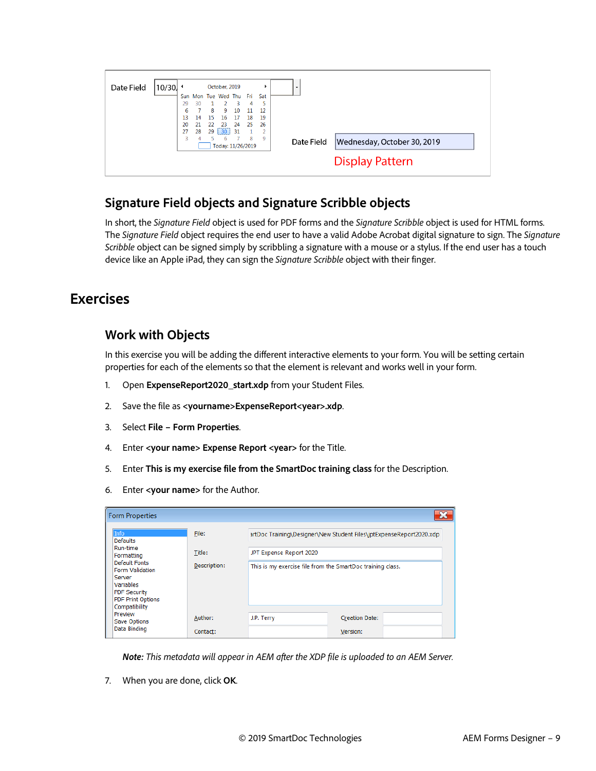

#### <span id="page-8-0"></span>**Signature Field objects and Signature Scribble objects**

In short, the *Signature Field* object is used for PDF forms and the *Signature Scribble* object is used for HTML forms. The *Signature Field* object requires the end user to have a valid Adobe Acrobat digital signature to sign. The *Signature Scribble* object can be signed simply by scribbling a signature with a mouse or a stylus. If the end user has a touch device like an Apple iPad, they can sign the *Signature Scribble* object with their finger.

# <span id="page-8-2"></span><span id="page-8-1"></span>**Exercises**

#### **Work with Objects**

In this exercise you will be adding the different interactive elements to your form. You will be setting certain properties for each of the elements so that the element is relevant and works well in your form.

- 1. Open **ExpenseReport2020\_start.xdp** from your Student Files.
- 2. Save the file as **<yourname>ExpenseReport<year>.xdp**.
- 3. Select **File – Form Properties**.
- 4. Enter **<your name> Expense Report <year>** for the Title.
- 5. Enter **This is my exercise file from the SmartDoc training class** for the Description.
- 6. Enter **<your name>** for the Author.

| <b>Form Properties</b>                                                                                                                    |              |                                                            |                                                                     |
|-------------------------------------------------------------------------------------------------------------------------------------------|--------------|------------------------------------------------------------|---------------------------------------------------------------------|
| Info<br><b>Defaults</b>                                                                                                                   | File:        |                                                            | artDoc Training\Designer\New Student Files\jptExpenseReport2020.xdp |
| Run-time<br>Formatting                                                                                                                    | Title:       | JPT Expense Report 2020                                    |                                                                     |
| <b>Default Fonts</b><br><b>Form Validation</b><br>Server<br>Variables<br><b>PDF Security</b><br><b>PDF Print Options</b><br>Compatibility | Description: | This is my exercise file from the SmartDoc training class. |                                                                     |
| Preview<br>Save Options                                                                                                                   | Author:      | J.P. Terry                                                 | <b>Creation Date:</b>                                               |
| Data Binding                                                                                                                              | Contact:     |                                                            | Version:                                                            |

*Note: This metadata will appear in AEM after the XDP file is uploaded to an AEM Server.*

7. When you are done, click **OK**.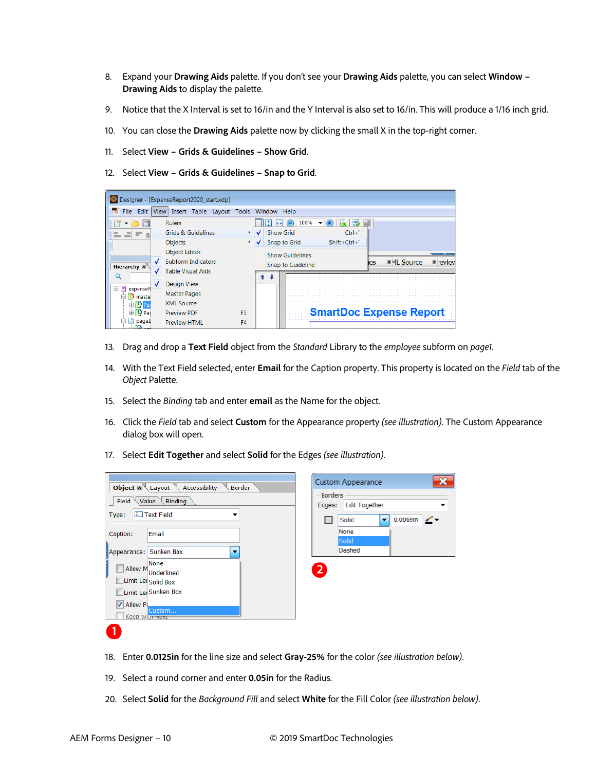- 8. Expand your **Drawing Aids** palette. If you don't see your **Drawing Aids** palette, you can select **Window – Drawing Aids** to display the palette.
- 9. Notice that the X Interval is set to 16/in and the Y Interval is also set to 16/in. This will produce a 1/16 inch grid.
- 10. You can close the **Drawing Aids** palette now by clicking the small X in the top-right corner.
- 11. Select **View – Grids & Guidelines – Show Grid**.
- 12. Select **View – Grids & Guidelines – Snap to Grid**.

|                                 | Designer - [ExpenseReport2020_start.xdp]                                      |    |                  |                                             |                                |     |                    |                            |
|---------------------------------|-------------------------------------------------------------------------------|----|------------------|---------------------------------------------|--------------------------------|-----|--------------------|----------------------------|
| File<br>Edit                    | View Insert Table Layout Tools Window Help                                    |    |                  |                                             |                                |     |                    |                            |
|                                 | <b>Rulers</b>                                                                 |    |                  | 100%                                        |                                |     |                    |                            |
|                                 | <b>Grids &amp; Guidelines</b>                                                 |    | <b>Show Grid</b> |                                             | $Ctrl + '$                     |     |                    |                            |
|                                 | <b>Objects</b>                                                                |    |                  | Snap to Grid                                | $Shift+Ctrl+$                  |     |                    |                            |
| Hierarchy <b>x</b>              | <b>Object Editor</b><br><b>Subform Indicators</b><br><b>Table Visual Aids</b> |    |                  | <b>Show Guidelines</b><br>Snap to Guideline |                                | ies | <b>■ ML Source</b> | ,,,,,,,,,,,,<br>$E$ review |
| 日 <b>E</b> expenseR<br>白D maste | <b>Design View</b><br><b>Master Pages</b><br><b>XMI Source</b>                |    |                  |                                             |                                |     |                    |                            |
| 由 中 Pad                         | <b>Preview PDF</b>                                                            | F5 |                  |                                             | <b>SmartDoc Expense Report</b> |     |                    |                            |
| page1                           | <b>Preview HTML</b>                                                           | F4 |                  |                                             |                                |     |                    |                            |

- 13. Drag and drop a **Text Field** object from the *Standard* Library to the *employee* subform on *page1*.
- 14. With the Text Field selected, enter **Email** for the Caption property. This property is located on the *Field* tab of the *Object* Palette.
- 15. Select the *Binding* tab and enter **email** as the Name for the object.
- 16. Click the *Field* tab and select **Custom** for the Appearance property *(see illustration)*. The Custom Appearance dialog box will open.
- 17. Select **Edit Together** and select **Solid** for the Edges *(see illustration)*.

| <b>Object</b> $\mathbb{Z}$ Layout Accessibility<br><b>Border</b>                                                                     | <b>Custom Appearance</b>                                                                              |
|--------------------------------------------------------------------------------------------------------------------------------------|-------------------------------------------------------------------------------------------------------|
| Field $\vee$ Value $\vee$ Binding<br><b>I</b> Text Field<br>Type:                                                                    | <b>Borders</b><br>Edges: Edit Together<br>$0.0069$ in $\sqrt{*}$<br>Solid<br>$\overline{\phantom{a}}$ |
| Email<br>Caption:                                                                                                                    | None<br>Solid                                                                                         |
| Appearance: Sunken Box                                                                                                               | <b>Dashed</b>                                                                                         |
| None<br><b>Allow M</b><br><b>Underlined</b><br>Limit Ler Solid Box<br>Limit Ler Sunken Box<br>V Allow Pi<br>Custom<br>Keep with wext | 2                                                                                                     |

- 18. Enter **0.0125in** for the line size and select **Gray-25%** for the color *(see illustration below)*.
- 19. Select a round corner and enter **0.05in** for the Radius.
- 20. Select **Solid** for the *Background Fill* and select **White** for the Fill Color *(see illustration below)*.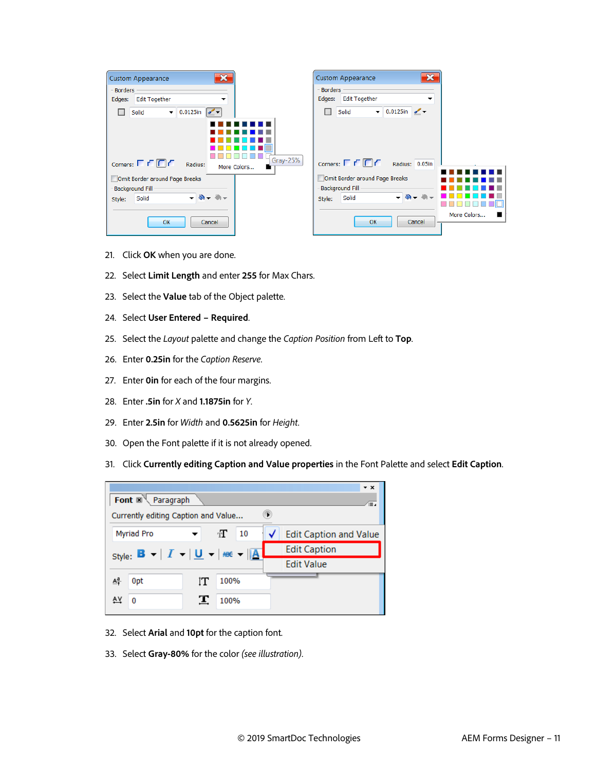| $\mathbf x$<br><b>Custom Appearance</b>                              | $\mathbf{x}$<br><b>Custom Appearance</b>                                  |             |
|----------------------------------------------------------------------|---------------------------------------------------------------------------|-------------|
| <b>Borders</b><br><b>Edit Together</b><br>Edges:<br>▼                | <b>Borders</b><br><b>Edit Together</b><br>Edges:<br>$\tilde{\phantom{a}}$ |             |
| $\blacktriangledown$ 0.0125in<br>Solid<br>$\sim$                     | $\bullet$ 0.0125in $\bullet$<br>Solid                                     |             |
| $Gray-25%$                                                           |                                                                           |             |
| Corners: $\Gamma$ $\Gamma$ $\Box$ $\Gamma$<br>Radius:<br>More Colors | Corners: $\Gamma \Gamma \Gamma$<br>Radius: 0.05in                         |             |
| Omit Border around Page Breaks                                       | Omit Border around Page Breaks                                            |             |
| - Background Fill                                                    | <b>Background Fill</b>                                                    |             |
| $-8 + 0 -$<br>Solid<br>Style:                                        | $-8 - 1$<br>Solid<br>Style:                                               |             |
| OK<br>Cancel                                                         | Cancel<br>OK                                                              | More Colors |
|                                                                      |                                                                           |             |

- 21. Click **OK** when you are done.
- 22. Select **Limit Length** and enter **255** for Max Chars.
- 23. Select the **Value** tab of the Object palette.
- 24. Select **User Entered – Required**.
- 25. Select the *Layout* palette and change the *Caption Position* from Left to **Top**.
- 26. Enter **0.25in** for the *Caption Reserve*.
- 27. Enter **0in** for each of the four margins.
- 28. Enter **.5in** for *X* and **1.1875in** for *Y*.
- 29. Enter **2.5in** for *Width* and **0.5625in** for *Height*.
- 30. Open the Font palette if it is not already opened.
- 31. Click **Currently editing Caption and Value properties** in the Font Palette and select **Edit Caption**.

|                                                                                |                      | $\star$ $\times$              |
|--------------------------------------------------------------------------------|----------------------|-------------------------------|
| Font $\mathbb{R}^{\mathbb{N}}$ Paragraph                                       |                      | Æ                             |
| Currently editing Caption and Value                                            |                      |                               |
| <b>Myriad Pro</b>                                                              | $\pi$<br>10          | <b>Edit Caption and Value</b> |
| Style: $\mathbf{B} -  I  -  \mathbf{U}  -  \mathbf{m}\epsilon  -  \mathbf{A} $ |                      | <b>Edit Caption</b>           |
|                                                                                |                      | <b>Edit Value</b>             |
| $\overline{\mathbf{v}}^{\mathbf{g}}$<br>0 <sub>pt</sub>                        | 100%<br>īТ           |                               |
| o                                                                              | $\mathbf{T}$<br>100% |                               |

- 32. Select **Arial** and **10pt** for the caption font.
- 33. Select **Gray-80%** for the color *(see illustration)*.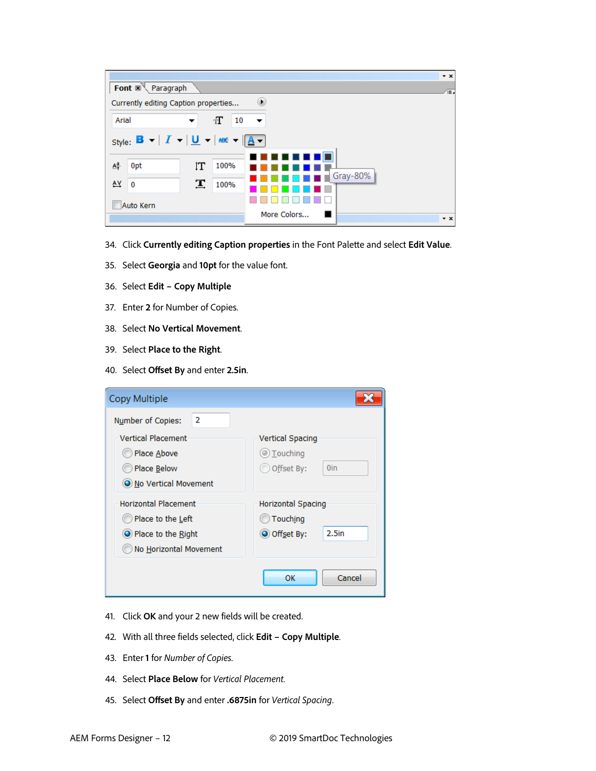| Font $\mathbb{R}^{\mathbb{N}}$<br>Paragraph                                                           |    |         |                      | $\star$ x<br>Æ. |
|-------------------------------------------------------------------------------------------------------|----|---------|----------------------|-----------------|
| Currently editing Caption properties                                                                  |    |         | D                    |                 |
| Arial                                                                                                 | ▼  | П<br>10 | $\blacktriangledown$ |                 |
| Style: $\mathbf{B} -  I - \underline{\mathbf{U}} - \underline{\mathbf{R}} - \underline{\mathbf{A}} -$ |    |         |                      |                 |
|                                                                                                       |    |         |                      |                 |
| $\mathbf{A}^{\mathsf{a}}_{\mathsf{T}}$<br>0pt                                                         | ľΤ | 100%    |                      |                 |
| AY<br>0                                                                                               | 工  | 100%    | Gray-80%             |                 |
| Auto Kern                                                                                             |    |         |                      |                 |
|                                                                                                       |    |         | More Colors          | $\star$ x       |

- 34. Click **Currently editing Caption properties** in the Font Palette and select **Edit Value**.
- 35. Select **Georgia** and **10pt** for the value font.
- 36. Select **Edit – Copy Multiple**
- 37. Enter **2** for Number of Copies.
- 38. Select **No Vertical Movement**.
- 39. Select **Place to the Right**.
- 40. Select **Offset By** and enter **2.5in**.

| <b>Copy Multiple</b>                                                                             |                                                                            |
|--------------------------------------------------------------------------------------------------|----------------------------------------------------------------------------|
| 2<br>Number of Copies:                                                                           |                                                                            |
| <b>Vertical Placement</b><br>Place Above<br>Place Below<br>O No Vertical Movement                | <b>Vertical Spacing</b><br>$\circledcirc$ Touching<br>Offset By:<br>0in    |
| <b>Horizontal Placement</b><br>Place to the Left<br>Place to the Right<br>No Horizontal Movement | <b>Horizontal Spacing</b><br>Touching<br>2.5 <sub>in</sub><br>O Offset By: |
|                                                                                                  | Cancel<br>ОК                                                               |

- 41. Click **OK** and your 2 new fields will be created.
- 42. With all three fields selected, click **Edit – Copy Multiple**.
- 43. Enter **1** for *Number of Copies*.
- 44. Select **Place Below** for *Vertical Placement*.
- 45. Select **Offset By** and enter **.6875in** for *Vertical Spacing*.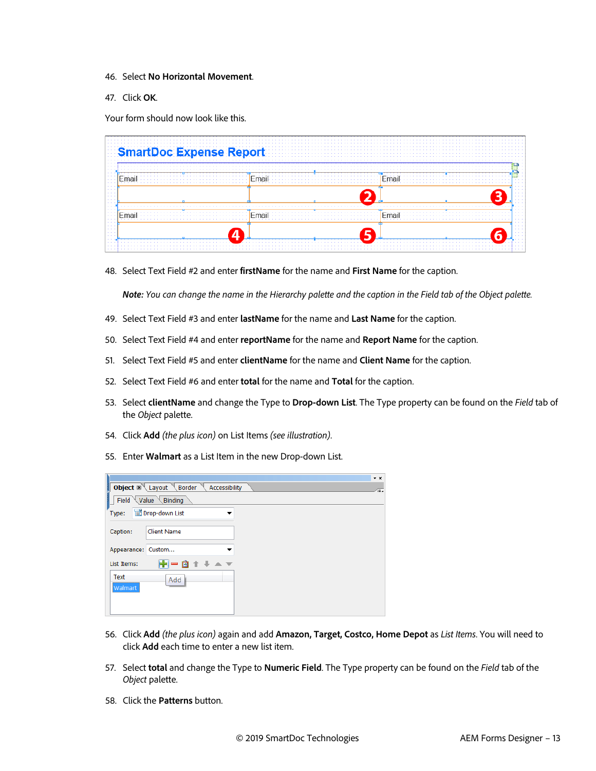- 46. Select **No Horizontal Movement**.
- 47. Click **OK**.

Your form should now look like this.

48. Select Text Field #2 and enter **firstName** for the name and **First Name** for the caption.

*Note: You can change the name in the Hierarchy palette and the caption in the Field tab of the Object palette.*

- 49. Select Text Field #3 and enter **lastName** for the name and **Last Name** for the caption.
- 50. Select Text Field #4 and enter **reportName** for the name and **Report Name** for the caption.
- 51. Select Text Field #5 and enter **clientName** for the name and **Client Name** for the caption.
- 52. Select Text Field #6 and enter **total** for the name and **Total** for the caption.
- 53. Select **clientName** and change the Type to **Drop-down List**. The Type property can be found on the *Field* tab of the *Object* palette.
- 54. Click **Add** *(the plus icon)* on List Items *(see illustration)*.
- 55. Enter **Walmart** as a List Item in the new Drop-down List.

|                        |                                             | $\mathbf{v} \times$ |
|------------------------|---------------------------------------------|---------------------|
| š                      | Object X Layout Border<br>Accessibility     | Œ.                  |
|                        | Field $\setminus$ Value $\setminus$ Binding |                     |
| Type:                  | Drop-down List                              |                     |
| Caption:               | <b>Client Name</b>                          |                     |
| Appearance: Custom     |                                             |                     |
| List Items:            | $+ + -$<br>— A                              |                     |
| <b>Text</b><br>Walmart | Add                                         |                     |

- 56. Click **Add** *(the plus icon)* again and add **Amazon, Target, Costco, Home Depot** as *List Items*. You will need to click **Add** each time to enter a new list item.
- 57. Select **total** and change the Type to **Numeric Field**. The Type property can be found on the *Field* tab of the *Object* palette.
- 58. Click the **Patterns** button.